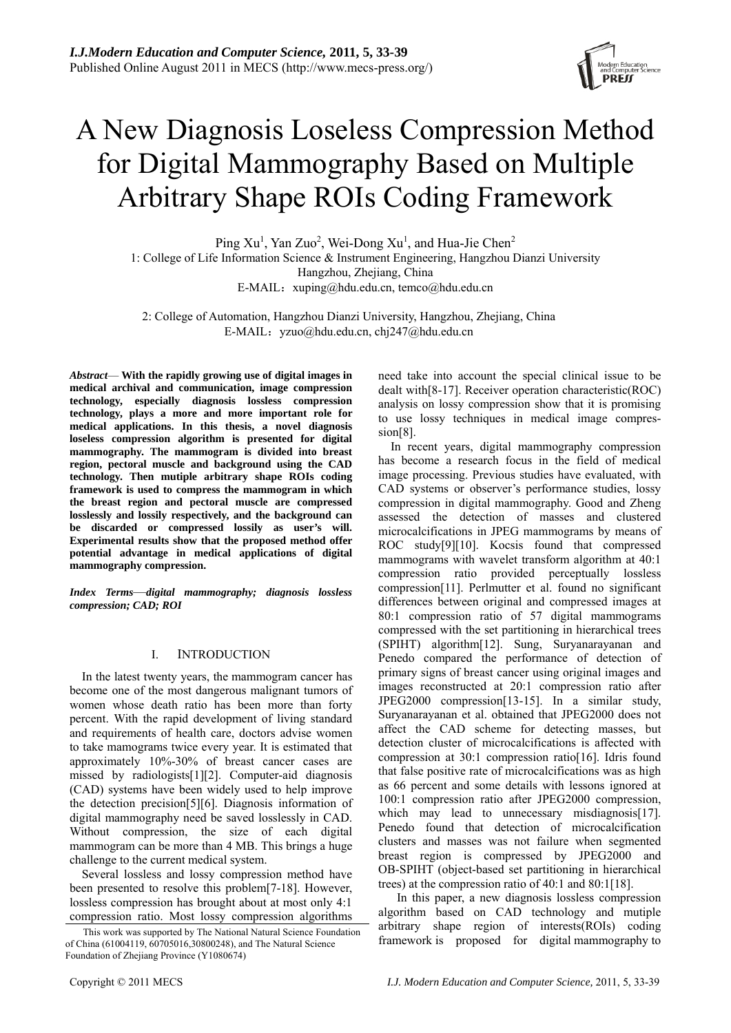

# A New Diagnosis Loseless Compression Method for Digital Mammography Based on Multiple Arbitrary Shape ROIs Coding Framework

Ping  $Xu<sup>1</sup>$ , Yan Zuo<sup>2</sup>, Wei-Dong  $Xu<sup>1</sup>$ , and Hua-Jie Chen<sup>2</sup> 1: College of Life Information Science & Instrument Engineering, Hangzhou Dianzi University Hangzhou, Zhejiang, China E-MAIL:  $xuping@hdu.edu.cn, temco@hdu.edu.cn$ 

2: College of Automation, Hangzhou Dianzi University, Hangzhou, Zhejiang, China E-MAIL: yzuo@hdu.edu.cn, chj247@hdu.edu.cn

*Abstract*— **With the rapidly growing use of digital images in medical archival and communication, image compression technology, especially diagnosis lossless compression technology, plays a more and more important role for medical applications. In this thesis, a novel diagnosis loseless compression algorithm is presented for digital mammography. The mammogram is divided into breast region, pectoral muscle and background using the CAD technology. Then mutiple arbitrary shape ROIs coding framework is used to compress the mammogram in which the breast region and pectoral muscle are compressed losslessly and lossily respectively, and the background can be discarded or compressed lossily as user's will. Experimental results show that the proposed method offer potential advantage in medical applications of digital mammography compression.** 

*Index Terms*—*digital mammography; diagnosis lossless compression; CAD; ROI* 

# I. INTRODUCTION

In the latest twenty years, the mammogram cancer has become one of the most dangerous malignant tumors of women whose death ratio has been more than forty percent. With the rapid development of living standard and requirements of health care, doctors advise women to take mamograms twice every year. It is estimated that approximately 10%-30% of breast cancer cases are missed by radiologists[1][2]. Computer-aid diagnosis (CAD) systems have been widely used to help improve the detection precision[5][6]. Diagnosis information of digital mammography need be saved losslessly in CAD. Without compression, the size of each digital mammogram can be more than 4 MB. This brings a huge challenge to the current medical system.

Several lossless and lossy compression method have been presented to resolve this problem[7-18]. However, lossless compression has brought about at most only 4:1 compression ratio. Most lossy compression algorithms

need take into account the special clinical issue to be dealt with[8-17]. Receiver operation characteristic(ROC) analysis on lossy compression show that it is promising to use lossy techniques in medical image compression[8].

In recent years, digital mammography compression has become a research focus in the field of medical image processing. Previous studies have evaluated, with CAD systems or observer's performance studies, lossy compression in digital mammography. Good and Zheng assessed the detection of masses and clustered microcalcifications in JPEG mammograms by means of ROC study[9][10]. Kocsis found that compressed mammograms with wavelet transform algorithm at 40:1 compression ratio provided perceptually lossless compression[11]. Perlmutter et al. found no significant differences between original and compressed images at 80:1 compression ratio of 57 digital mammograms compressed with the set partitioning in hierarchical trees (SPIHT) algorithm[12]. Sung, Suryanarayanan and Penedo compared the performance of detection of primary signs of breast cancer using original images and images reconstructed at 20:1 compression ratio after JPEG2000 compression[13-15]. In a similar study, Suryanarayanan et al. obtained that JPEG2000 does not affect the CAD scheme for detecting masses, but detection cluster of microcalcifications is affected with compression at 30:1 compression ratio[16]. Idris found that false positive rate of microcalcifications was as high as 66 percent and some details with lessons ignored at 100:1 compression ratio after JPEG2000 compression, which may lead to unnecessary misdiagnosis[17]. Penedo found that detection of microcalcification clusters and masses was not failure when segmented breast region is compressed by JPEG2000 and OB-SPIHT (object-based set partitioning in hierarchical trees) at the compression ratio of 40:1 and 80:1[18].

 In this paper, a new diagnosis lossless compression algorithm based on CAD technology and mutiple arbitrary shape region of interests(ROIs) coding This work was supported by The National Natural Science Foundation<br>hina (61004119 60705016 30800248) and The Natural Science framework is proposed for digital mammography to

of China (61004119, 60705016,30800248), and The Natural Science Foundation of Zhejiang Province (Y1080674)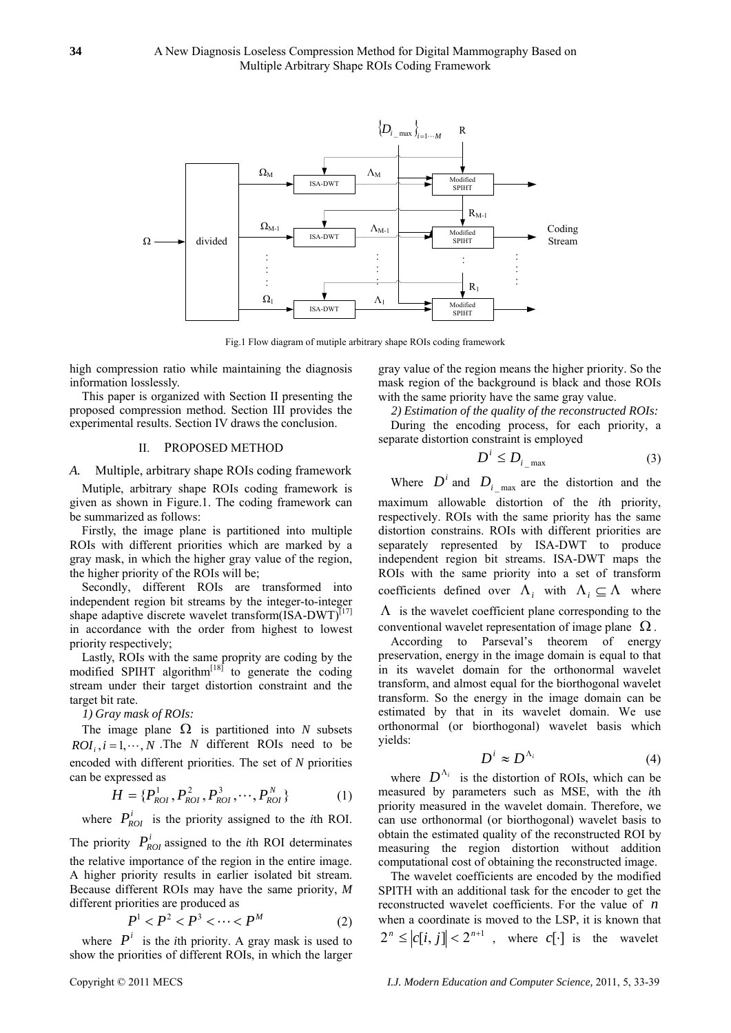

Fig.1 Flow diagram of mutiple arbitrary shape ROIs coding framework

high compression ratio while maintaining the diagnosis information losslessly.

This paper is organized with Section II presenting the proposed compression method. Section III provides the experimental results. Section IV draws the conclusion.

## II. PROPOSED METHOD

### *A.* Multiple, arbitrary shape ROIs coding framework

Mutiple, arbitrary shape ROIs coding framework is given as shown in Figure.1. The coding framework can be summarized as follows:

Firstly, the image plane is partitioned into multiple ROIs with different priorities which are marked by a gray mask, in which the higher gray value of the region, the higher priority of the ROIs will be;

Secondly, different ROIs are transformed into independent region bit streams by the integer-to-integer shape adaptive discrete wavelet transform(ISA-DWT)<sup>[17]</sup> in accordance with the order from highest to lowest priority respectively;

Lastly, ROIs with the same proprity are coding by the modified SPIHT algorithm<sup>[18]</sup> to generate the coding stream under their target distortion constraint and the target bit rate.

*1) Gray mask of ROIs:* 

The image plane  $\Omega$  is partitioned into *N* subsets  $ROI_i$ ,  $i = 1, \dots, N$ . The *N* different ROIs need to be encoded with different priorities. The set of *N* priorities can be expressed as

$$
H = \{P_{ROI}^{1}, P_{ROI}^{2}, P_{ROI}^{3}, \cdots, P_{ROI}^{N}\}
$$
 (1)

where  $P_{ROI}^{i}$  is the priority assigned to the *i*th ROI.

The priority  $P_{\text{rot}}^i$  assigned to the *i*th ROI determinates the relative importance of the region in the entire image. A higher priority results in earlier isolated bit stream. Because different ROIs may have the same priority, *M* different priorities are produced as

$$
P^1 < P^2 < P^3 < \dots < P^M \tag{2}
$$

where  $P^i$  is the *i*th priority. A gray mask is used to show the priorities of different ROIs, in which the larger gray value of the region means the higher priority. So the mask region of the background is black and those ROIs with the same priority have the same gray value.

*2) Estimation of the quality of the reconstructed ROIs:*  During the encoding process, for each priority, a separate distortion constraint is employed

$$
D^i \le D_{i \max} \tag{3}
$$

Where  $D^i$  and  $D_i$  <sub>max</sub> are the distortion and the maximum allowable distortion of the *i*th priority, respectively. ROIs with the same priority has the same distortion constrains. ROIs with different priorities are separately represented by ISA-DWT to produce independent region bit streams. ISA-DWT maps the ROIs with the same priority into a set of transform coefficients defined over  $\Lambda_i$  with  $\Lambda_i \subseteq \Lambda$  where  $\Lambda$  is the wavelet coefficient plane corresponding to the conventional wavelet representation of image plane  $\Omega$ .

According to Parseval's theorem of energy preservation, energy in the image domain is equal to that in its wavelet domain for the orthonormal wavelet transform, and almost equal for the biorthogonal wavelet transform. So the energy in the image domain can be estimated by that in its wavelet domain. We use orthonormal (or biorthogonal) wavelet basis which yields:

$$
D^i \approx D^{\Lambda_i} \tag{4}
$$

where  $D^{\Lambda_i}$  is the distortion of ROIs, which can be measured by parameters such as MSE, with the *i*th priority measured in the wavelet domain. Therefore, we can use orthonormal (or biorthogonal) wavelet basis to obtain the estimated quality of the reconstructed ROI by measuring the region distortion without addition computational cost of obtaining the reconstructed image.

The wavelet coefficients are encoded by the modified SPITH with an additional task for the encoder to get the reconstructed wavelet coefficients. For the value of *n* when a coordinate is moved to the LSP, it is known that  $2^n \leq |c[i, j]| < 2^{n+1}$ , where  $c[\cdot]$  is the wavelet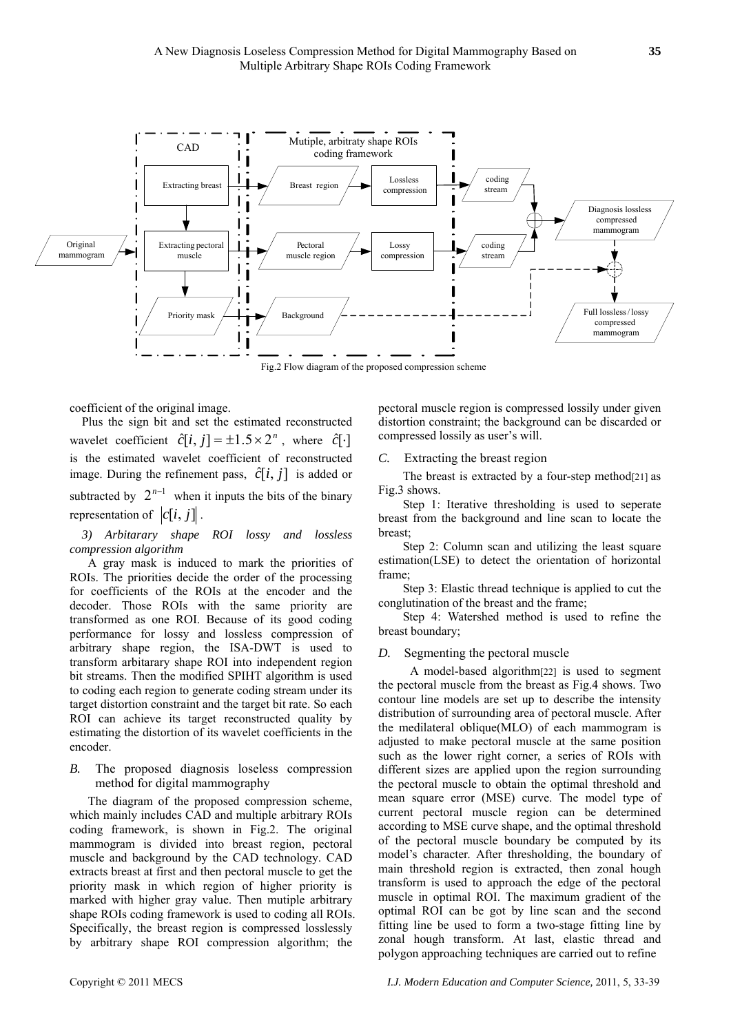

coefficient of the original image.

Plus the sign bit and set the estimated reconstructed wavelet coefficient  $\hat{c}[i, j] = \pm 1.5 \times 2^{n}$ , where  $\hat{c}[\cdot]$ is the estimated wavelet coefficient of reconstructed image. During the refinement pass,  $\hat{c}[i, j]$  is added or subtracted by  $2^{n-1}$  when it inputs the bits of the binary representation of  $|c[i, j]|$ .

*3) Arbitarary shape ROI lossy and lossless compression algorithm* 

A gray mask is induced to mark the priorities of ROIs. The priorities decide the order of the processing for coefficients of the ROIs at the encoder and the decoder. Those ROIs with the same priority are transformed as one ROI. Because of its good coding performance for lossy and lossless compression of arbitrary shape region, the ISA-DWT is used to transform arbitarary shape ROI into independent region bit streams. Then the modified SPIHT algorithm is used to coding each region to generate coding stream under its target distortion constraint and the target bit rate. So each ROI can achieve its target reconstructed quality by estimating the distortion of its wavelet coefficients in the encoder.

*B.* The proposed diagnosis loseless compression method for digital mammography

The diagram of the proposed compression scheme, which mainly includes CAD and multiple arbitrary ROIs coding framework, is shown in Fig.2. The original mammogram is divided into breast region, pectoral muscle and background by the CAD technology. CAD extracts breast at first and then pectoral muscle to get the priority mask in which region of higher priority is marked with higher gray value. Then mutiple arbitrary shape ROIs coding framework is used to coding all ROIs. Specifically, the breast region is compressed losslessly by arbitrary shape ROI compression algorithm; the

pectoral muscle region is compressed lossily under given distortion constraint; the background can be discarded or compressed lossily as user's will.

*C.* Extracting the breast region

The breast is extracted by a four-step method[21] as Fig.3 shows.

Step 1: Iterative thresholding is used to seperate breast from the background and line scan to locate the breast;

Step 2: Column scan and utilizing the least square estimation(LSE) to detect the orientation of horizontal frame;

Step 3: Elastic thread technique is applied to cut the conglutination of the breast and the frame;

Step 4: Watershed method is used to refine the breast boundary;

# *D.* Segmenting the pectoral muscle

 A model-based algorithm[22] is used to segment the pectoral muscle from the breast as Fig.4 shows. Two contour line models are set up to describe the intensity distribution of surrounding area of pectoral muscle. After the medilateral oblique(MLO) of each mammogram is adjusted to make pectoral muscle at the same position such as the lower right corner, a series of ROIs with different sizes are applied upon the region surrounding the pectoral muscle to obtain the optimal threshold and mean square error (MSE) curve. The model type of current pectoral muscle region can be determined according to MSE curve shape, and the optimal threshold of the pectoral muscle boundary be computed by its model's character. After thresholding, the boundary of main threshold region is extracted, then zonal hough transform is used to approach the edge of the pectoral muscle in optimal ROI. The maximum gradient of the optimal ROI can be got by line scan and the second fitting line be used to form a two-stage fitting line by zonal hough transform. At last, elastic thread and polygon approaching techniques are carried out to refine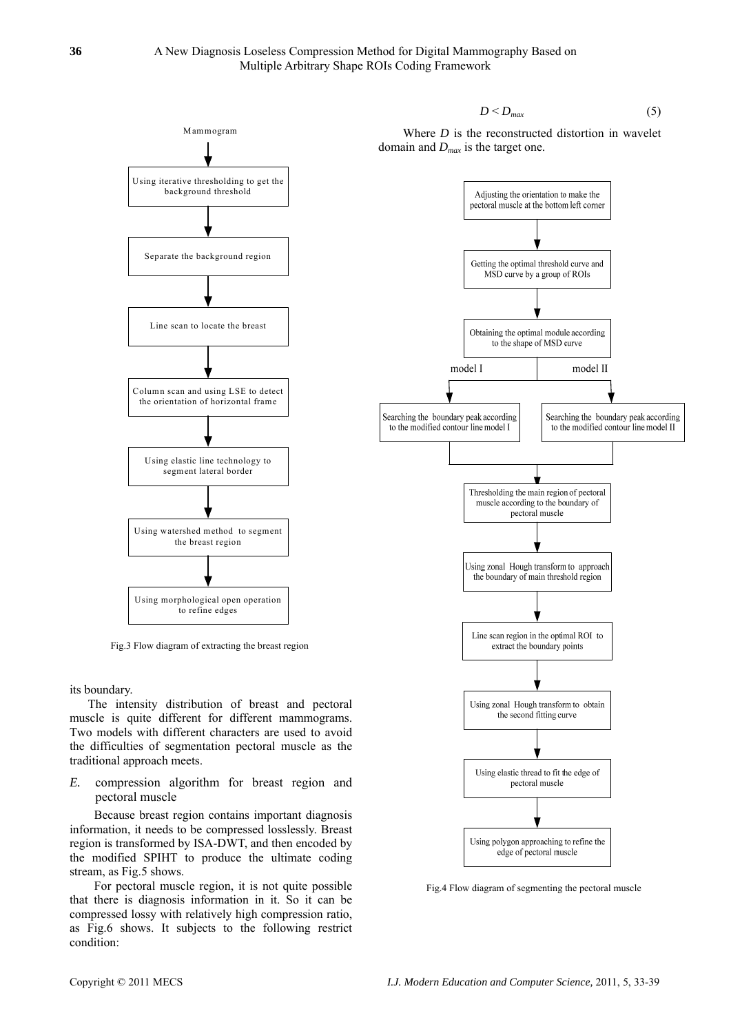



Fig.3 Flow diagram of extracting the breast region

its boundary.

The intensity distribution of breast and pectoral muscle is quite different for different mammograms. Two models with different characters are used to avoid the difficulties of segmentation pectoral muscle as the traditional approach meets.

*E.* compression algorithm for breast region and pectoral muscle

Because breast region contains important diagnosis information, it needs to be compressed losslessly. Breast region is transformed by ISA-DWT, and then encoded by the modified SPIHT to produce the ultimate coding stream, as Fig.5 shows.

For pectoral muscle region, it is not quite possible that there is diagnosis information in it. So it can be compressed lossy with relatively high compression ratio, as Fig.6 shows. It subjects to the following restrict condition:

Where 
$$
D
$$
 is the reconstructed distortion in wavelet domain and  $D_{max}$  is the target one.



Fig.4 Flow diagram of segmenting the pectoral muscle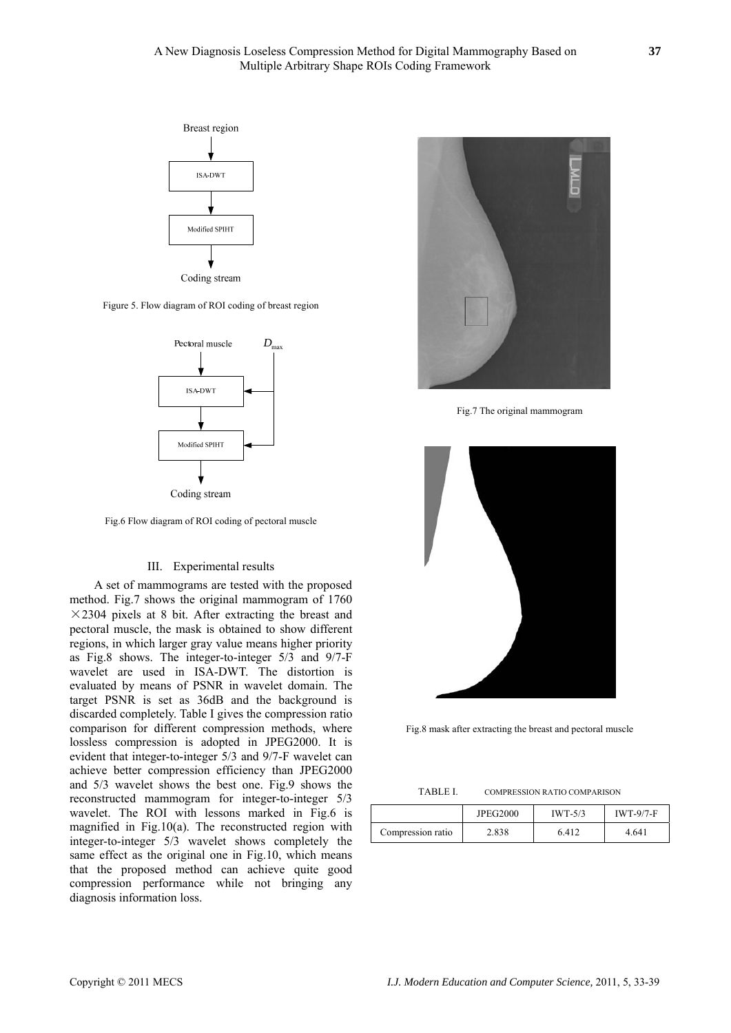

Figure 5. Flow diagram of ROI coding of breast region



Fig.6 Flow diagram of ROI coding of pectoral muscle

## III. Experimental results

A set of mammograms are tested with the proposed method. Fig.7 shows the original mammogram of 1760  $\times$ 2304 pixels at 8 bit. After extracting the breast and pectoral muscle, the mask is obtained to show different regions, in which larger gray value means higher priority as Fig.8 shows. The integer-to-integer 5/3 and 9/7-F wavelet are used in ISA-DWT. The distortion is evaluated by means of PSNR in wavelet domain. The target PSNR is set as 36dB and the background is discarded completely. Table I gives the compression ratio comparison for different compression methods, where lossless compression is adopted in JPEG2000. It is evident that integer-to-integer 5/3 and 9/7-F wavelet can achieve better compression efficiency than JPEG2000 and 5/3 wavelet shows the best one. Fig.9 shows the reconstructed mammogram for integer-to-integer 5/3 wavelet. The ROI with lessons marked in Fig.6 is magnified in Fig.10(a). The reconstructed region with integer-to-integer 5/3 wavelet shows completely the same effect as the original one in Fig.10, which means that the proposed method can achieve quite good compression performance while not bringing any diagnosis information loss.



Fig.7 The original mammogram



Fig.8 mask after extracting the breast and pectoral muscle

| <b>TABLE I.</b> |
|-----------------|
|-----------------|

COMPRESSION RATIO COMPARISON

|                   | <b>JPEG2000</b> | $IWT-5/3$ | $IWT-9/7-F$ |
|-------------------|-----------------|-----------|-------------|
| Compression ratio | 2.838           | 6.412     | 4.641       |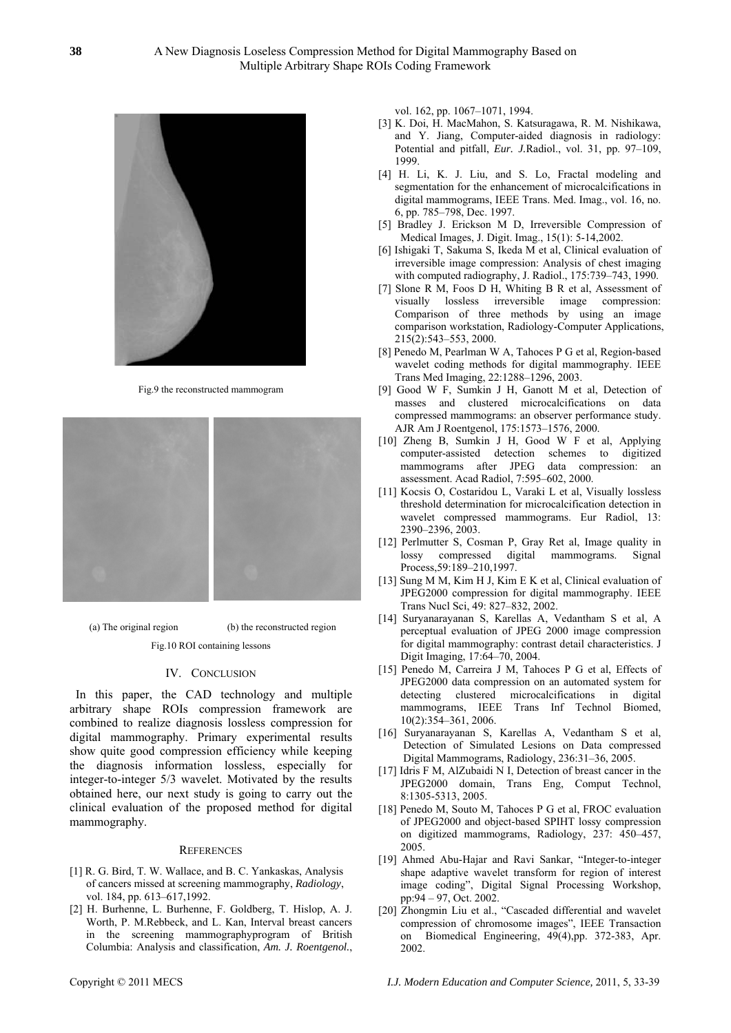

Fig.9 the reconstructed mammogram



(a) The original region (b) the reconstructed region

Fig.10 ROI containing lessons

#### IV. CONCLUSION

In this paper, the CAD technology and multiple arbitrary shape ROIs compression framework are combined to realize diagnosis lossless compression for digital mammography. Primary experimental results show quite good compression efficiency while keeping the diagnosis information lossless, especially for integer-to-integer 5/3 wavelet. Motivated by the results obtained here, our next study is going to carry out the clinical evaluation of the proposed method for digital mammography.

#### **REFERENCES**

- [1] R. G. Bird, T. W. Wallace, and B. C. Yankaskas, Analysis of cancers missed at screening mammography, *Radiology*, vol. 184, pp. 613–617,1992.
- [2] H. Burhenne, L. Burhenne, F. Goldberg, T. Hislop, A. J. Worth, P. M.Rebbeck, and L. Kan, Interval breast cancers in the screening mammographyprogram of British Columbia: Analysis and classification, *Am. J. Roentgenol.*,

vol. 162, pp. 1067–1071, 1994.

- [3] K. Doi, H. MacMahon, S. Katsuragawa, R. M. Nishikawa, and Y. Jiang, Computer-aided diagnosis in radiology: Potential and pitfall, *Eur. J.*Radiol., vol. 31, pp. 97–109, 1999.
- [4] H. Li, K. J. Liu, and S. Lo, Fractal modeling and segmentation for the enhancement of microcalcifications in digital mammograms, IEEE Trans. Med. Imag., vol. 16, no. 6, pp. 785–798, Dec. 1997.
- [5] Bradley J. Erickson M D, Irreversible Compression of Medical Images, J. Digit. Imag., 15(1): 5-14,2002.
- [6] Ishigaki T, Sakuma S, Ikeda M et al, Clinical evaluation of irreversible image compression: Analysis of chest imaging with computed radiography, J. Radiol., 175:739–743, 1990.
- [7] Slone R M, Foos D H, Whiting B R et al, Assessment of visually lossless irreversible image compression: Comparison of three methods by using an image comparison workstation, Radiology-Computer Applications, 215(2):543–553, 2000.
- [8] Penedo M, Pearlman W A, Tahoces P G et al, Region-based wavelet coding methods for digital mammography. IEEE Trans Med Imaging, 22:1288–1296, 2003.
- [9] Good W F, Sumkin J H, Ganott M et al, Detection of masses and clustered microcalcifications on data compressed mammograms: an observer performance study. AJR Am J Roentgenol, 175:1573–1576, 2000.
- [10] Zheng B, Sumkin J H, Good W F et al, Applying computer-assisted detection schemes to digitized mammograms after JPEG data compression: an assessment. Acad Radiol, 7:595–602, 2000.
- [11] Kocsis O, Costaridou L, Varaki L et al, Visually lossless threshold determination for microcalcification detection in wavelet compressed mammograms. Eur Radiol, 13: 2390–2396, 2003.
- [12] Perlmutter S, Cosman P, Gray Ret al, Image quality in lossy compressed digital mammograms. Signal Process,59:189–210,1997.
- [13] Sung M M, Kim H J, Kim E K et al, Clinical evaluation of JPEG2000 compression for digital mammography. IEEE Trans Nucl Sci, 49: 827–832, 2002.
- [14] Suryanarayanan S, Karellas A, Vedantham S et al, A perceptual evaluation of JPEG 2000 image compression for digital mammography: contrast detail characteristics. J Digit Imaging, 17:64–70, 2004.
- [15] Penedo M, Carreira J M, Tahoces P G et al, Effects of JPEG2000 data compression on an automated system for detecting clustered microcalcifications in digital mammograms, IEEE Trans Inf Technol Biomed, 10(2):354–361, 2006.
- [16] Suryanarayanan S, Karellas A, Vedantham S et al, Detection of Simulated Lesions on Data compressed Digital Mammograms, Radiology, 236:31–36, 2005.
- [17] Idris F M, AlZubaidi N I, Detection of breast cancer in the JPEG2000 domain, Trans Eng, Comput Technol, 8:1305-5313, 2005.
- [18] Penedo M, Souto M, Tahoces P G et al, FROC evaluation of JPEG2000 and object-based SPIHT lossy compression on digitized mammograms, Radiology, 237: 450–457, 2005.
- [19] Ahmed Abu-Hajar and Ravi Sankar, "Integer-to-integer shape adaptive wavelet transform for region of interest image coding", Digital Signal Processing Workshop, pp:94 – 97, Oct. 2002.
- [20] Zhongmin Liu et al., "Cascaded differential and wavelet compression of chromosome images", IEEE Transaction on Biomedical Engineering, 49(4),pp. 372-383, Apr. 2002.